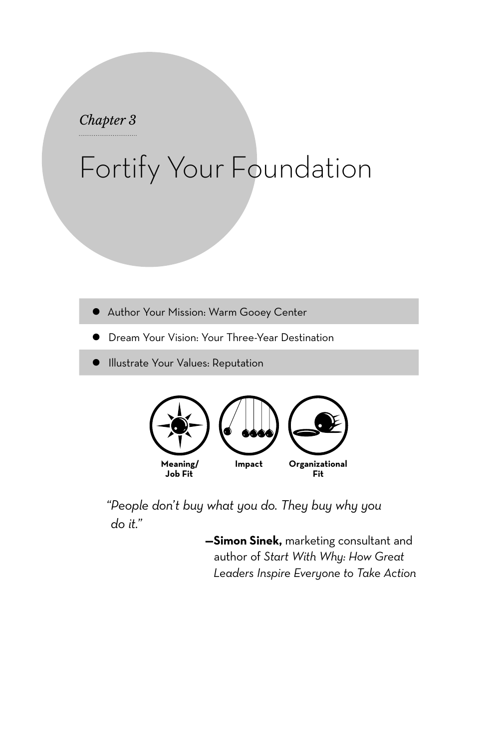## *Chapter 3*

## Fortify Your Foundation

- **•** Author Your Mission: Warm Gooey Center
- Dream Your Vision: Your Three-Year Destination
- Illustrate Your Values: Reputation



*"People don't buy what you do. They buy why you do it."*

> **—Simon Sinek,** marketing consultant and author of *Start With Why: How Great Leaders Inspire Everyone to Take Action*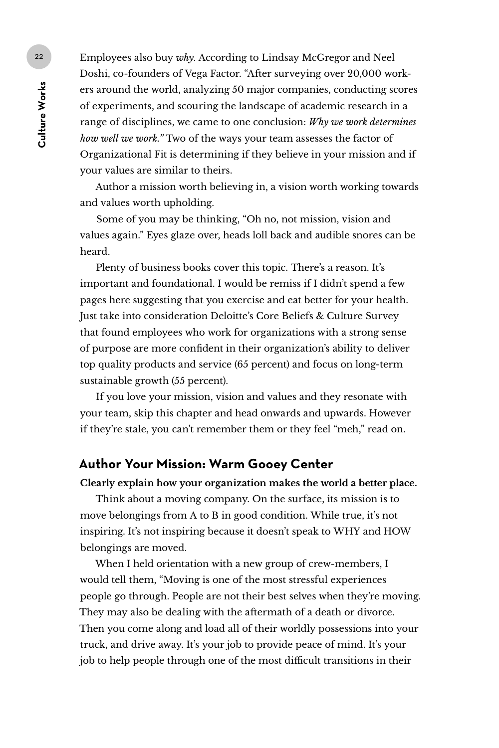Employees also buy *why*. According to Lindsay McGregor and Neel Doshi, co-founders of Vega Factor. "After surveying over 20,000 workers around the world, analyzing 50 major companies, conducting scores of experiments, and scouring the landscape of academic research in a range of disciplines, we came to one conclusion: *Why we work determines how well we work."* Two of the ways your team assesses the factor of Organizational Fit is determining if they believe in your mission and if your values are similar to theirs.

Author a mission worth believing in, a vision worth working towards and values worth upholding.

Some of you may be thinking, "Oh no, not mission, vision and values again." Eyes glaze over, heads loll back and audible snores can be heard.

Plenty of business books cover this topic. There's a reason. It's important and foundational. I would be remiss if I didn't spend a few pages here suggesting that you exercise and eat better for your health. Just take into consideration Deloitte's Core Beliefs & Culture Survey that found employees who work for organizations with a strong sense of purpose are more confident in their organization's ability to deliver top quality products and service (65 percent) and focus on long-term sustainable growth (55 percent).

If you love your mission, vision and values and they resonate with your team, skip this chapter and head onwards and upwards. However if they're stale, you can't remember them or they feel "meh," read on.

## **Author Your Mission: Warm Gooey Center**

**Clearly explain how your organization makes the world a better place.** 

Think about a moving company. On the surface, its mission is to move belongings from A to B in good condition. While true, it's not inspiring. It's not inspiring because it doesn't speak to WHY and HOW belongings are moved.

When I held orientation with a new group of crew-members, I would tell them, "Moving is one of the most stressful experiences people go through. People are not their best selves when they're moving. They may also be dealing with the aftermath of a death or divorce. Then you come along and load all of their worldly possessions into your truck, and drive away. It's your job to provide peace of mind. It's your job to help people through one of the most difficult transitions in their

22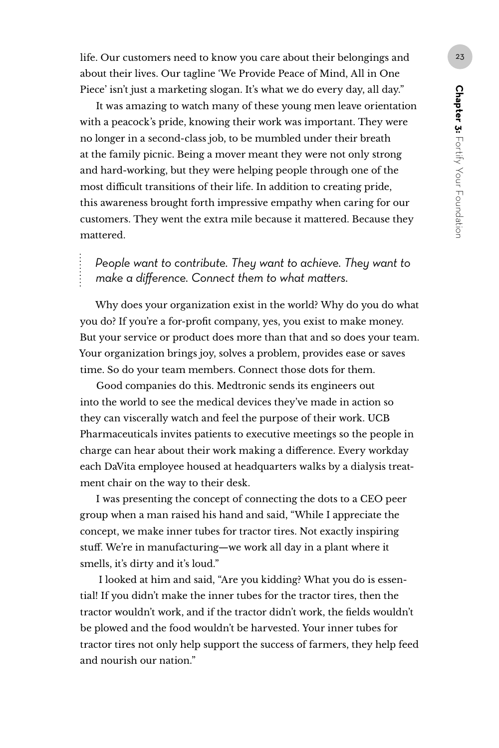life. Our customers need to know you care about their belongings and  $\sqrt{23}$ about their lives. Our tagline 'We Provide Peace of Mind, All in One Piece' isn't just a marketing slogan. It's what we do every day, all day."

It was amazing to watch many of these young men leave orientation with a peacock's pride, knowing their work was important. They were no longer in a second-class job, to be mumbled under their breath at the family picnic. Being a mover meant they were not only strong and hard-working, but they were helping people through one of the most difficult transitions of their life. In addition to creating pride, this awareness brought forth impressive empathy when caring for our customers. They went the extra mile because it mattered. Because they mattered.

*People want to contribute. They want to achieve. They want to make a difference. Connect them to what matters.*

Why does your organization exist in the world? Why do you do what you do? If you're a for-profit company, yes, you exist to make money. But your service or product does more than that and so does your team. Your organization brings joy, solves a problem, provides ease or saves time. So do your team members. Connect those dots for them.

Good companies do this. Medtronic sends its engineers out into the world to see the medical devices they've made in action so they can viscerally watch and feel the purpose of their work. UCB Pharmaceuticals invites patients to executive meetings so the people in charge can hear about their work making a difference. Every workday each DaVita employee housed at headquarters walks by a dialysis treatment chair on the way to their desk.

I was presenting the concept of connecting the dots to a CEO peer group when a man raised his hand and said, "While I appreciate the concept, we make inner tubes for tractor tires. Not exactly inspiring stuff. We're in manufacturing—we work all day in a plant where it smells, it's dirty and it's loud."

 I looked at him and said, "Are you kidding? What you do is essential! If you didn't make the inner tubes for the tractor tires, then the tractor wouldn't work, and if the tractor didn't work, the fields wouldn't be plowed and the food wouldn't be harvested. Your inner tubes for tractor tires not only help support the success of farmers, they help feed and nourish our nation."